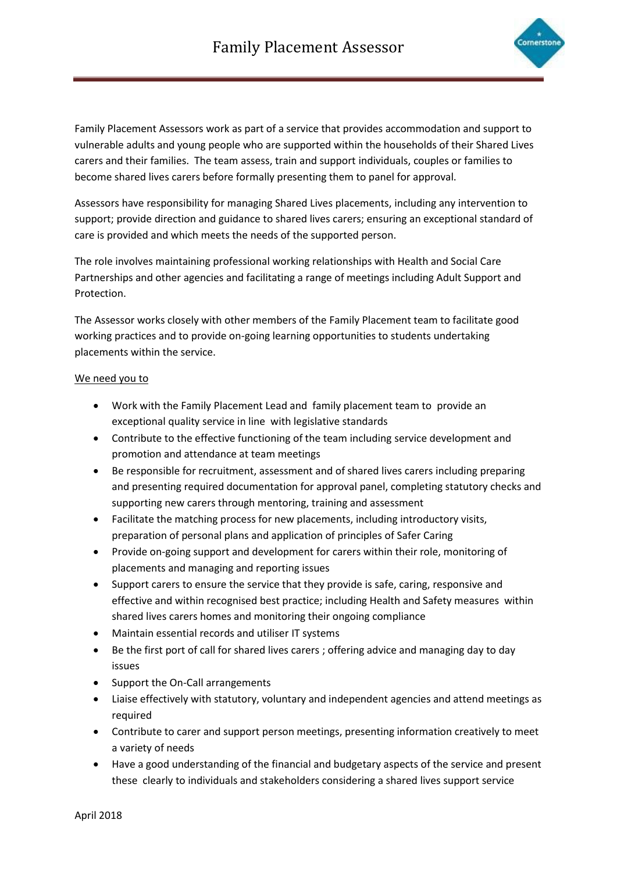

Family Placement Assessors work as part of a service that provides accommodation and support to vulnerable adults and young people who are supported within the households of their Shared Lives carers and their families. The team assess, train and support individuals, couples or families to become shared lives carers before formally presenting them to panel for approval.

Assessors have responsibility for managing Shared Lives placements, including any intervention to support; provide direction and guidance to shared lives carers; ensuring an exceptional standard of care is provided and which meets the needs of the supported person.

The role involves maintaining professional working relationships with Health and Social Care Partnerships and other agencies and facilitating a range of meetings including Adult Support and Protection.

The Assessor works closely with other members of the Family Placement team to facilitate good working practices and to provide on-going learning opportunities to students undertaking placements within the service.

## We need you to

- Work with the Family Placement Lead and family placement team to provide an exceptional quality service in line with legislative standards
- Contribute to the effective functioning of the team including service development and promotion and attendance at team meetings
- Be responsible for recruitment, assessment and of shared lives carers including preparing and presenting required documentation for approval panel, completing statutory checks and supporting new carers through mentoring, training and assessment
- Facilitate the matching process for new placements, including introductory visits, preparation of personal plans and application of principles of Safer Caring
- Provide on-going support and development for carers within their role, monitoring of placements and managing and reporting issues
- Support carers to ensure the service that they provide is safe, caring, responsive and effective and within recognised best practice; including Health and Safety measures within shared lives carers homes and monitoring their ongoing compliance
- Maintain essential records and utiliser IT systems
- Be the first port of call for shared lives carers ; offering advice and managing day to day issues
- Support the On-Call arrangements
- Liaise effectively with statutory, voluntary and independent agencies and attend meetings as required
- Contribute to carer and support person meetings, presenting information creatively to meet a variety of needs
- Have a good understanding of the financial and budgetary aspects of the service and present these clearly to individuals and stakeholders considering a shared lives support service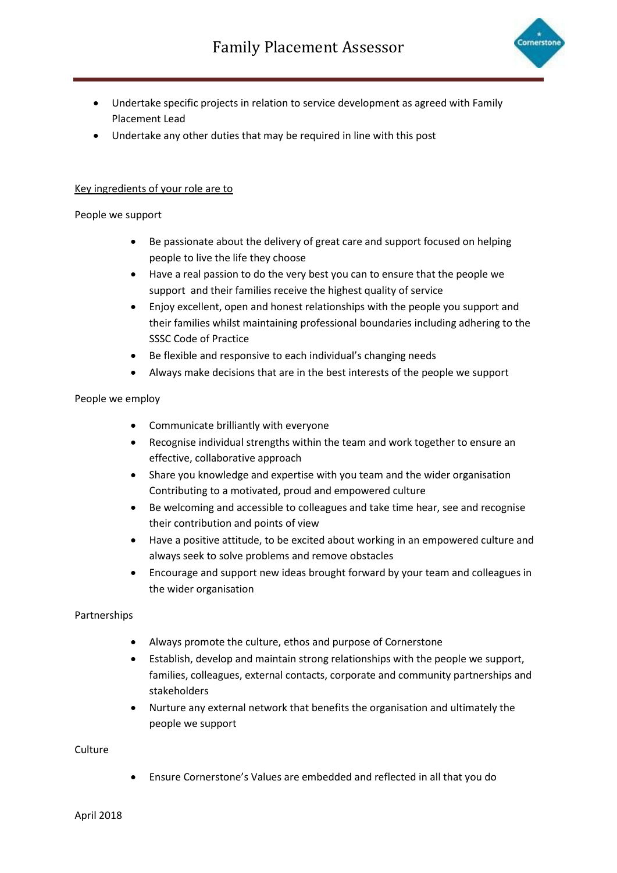

- Undertake specific projects in relation to service development as agreed with Family Placement Lead
- Undertake any other duties that may be required in line with this post

# Key ingredients of your role are to

## People we support

- Be passionate about the delivery of great care and support focused on helping people to live the life they choose
- Have a real passion to do the very best you can to ensure that the people we support and their families receive the highest quality of service
- Enjoy excellent, open and honest relationships with the people you support and their families whilst maintaining professional boundaries including adhering to the SSSC Code of Practice
- Be flexible and responsive to each individual's changing needs
- Always make decisions that are in the best interests of the people we support

## People we employ

- Communicate brilliantly with everyone
- Recognise individual strengths within the team and work together to ensure an effective, collaborative approach
- Share you knowledge and expertise with you team and the wider organisation Contributing to a motivated, proud and empowered culture
- Be welcoming and accessible to colleagues and take time hear, see and recognise their contribution and points of view
- Have a positive attitude, to be excited about working in an empowered culture and always seek to solve problems and remove obstacles
- Encourage and support new ideas brought forward by your team and colleagues in the wider organisation

## Partnerships

- Always promote the culture, ethos and purpose of Cornerstone
- Establish, develop and maintain strong relationships with the people we support, families, colleagues, external contacts, corporate and community partnerships and stakeholders
- Nurture any external network that benefits the organisation and ultimately the people we support

Culture

• Ensure Cornerstone's Values are embedded and reflected in all that you do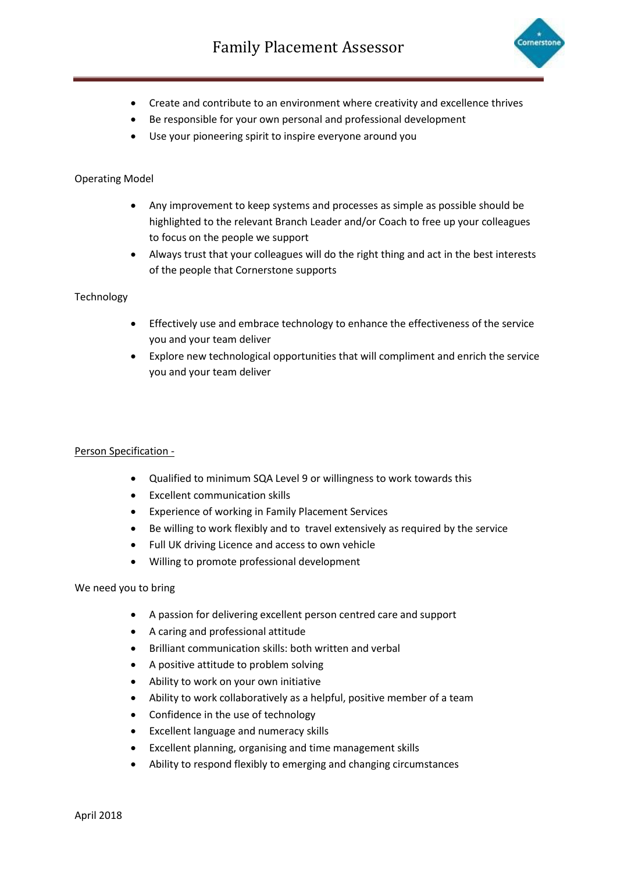

- Create and contribute to an environment where creativity and excellence thrives
- Be responsible for your own personal and professional development
- Use your pioneering spirit to inspire everyone around you

## Operating Model

- Any improvement to keep systems and processes as simple as possible should be highlighted to the relevant Branch Leader and/or Coach to free up your colleagues to focus on the people we support
- Always trust that your colleagues will do the right thing and act in the best interests of the people that Cornerstone supports

## Technology

- Effectively use and embrace technology to enhance the effectiveness of the service you and your team deliver
- Explore new technological opportunities that will compliment and enrich the service you and your team deliver

#### Person Specification -

- Qualified to minimum SQA Level 9 or willingness to work towards this
- Excellent communication skills
- Experience of working in Family Placement Services
- Be willing to work flexibly and to travel extensively as required by the service
- Full UK driving Licence and access to own vehicle
- Willing to promote professional development

#### We need you to bring

- A passion for delivering excellent person centred care and support
- A caring and professional attitude
- Brilliant communication skills: both written and verbal
- A positive attitude to problem solving
- Ability to work on your own initiative
- Ability to work collaboratively as a helpful, positive member of a team
- Confidence in the use of technology
- Excellent language and numeracy skills
- Excellent planning, organising and time management skills
- Ability to respond flexibly to emerging and changing circumstances